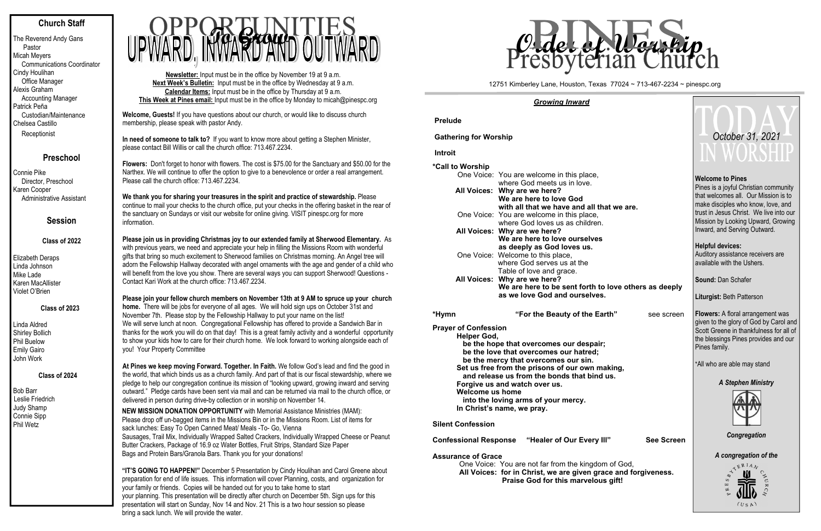# **Church Staff**

The Reverend Andy Gans Pastor Micah Meyers Communications Coordinator Cindy Houlihan Office Manager Alexis Graham Accounting Manager Patrick Peña Custodian/Maintenance Chelsea Castillo Receptionist

# **Preschool**

Connie Pike Director, Preschool Karen Cooper Administrative Assistant

# **Session**

## **Class of 2022**

Elizabeth Deraps Linda Johnson Mike Lade Karen MacAllister Violet O'Brien

## **Class of 2023**

Linda Aldred Shirley Bollich Phil Buelow Emily Gairo John Work

## **Class of 2024**

Bob Barr Leslie Friedrich Judy Shamp Connie Sipp Phil Wetz

**Newsletter:** Input must be in the office by November 19 at 9 a.m. **Next Week's Bulletin:** Input must be in the office by Wednesday at 9 a.m. **Calendar Items:** Input must be in the office by Thursday at 9 a.m. **This Week at Pines email:** Input must be in the office by Monday to micah@pinespc.org

**Please join us in providing Christmas joy to our extended family at Sherwood Elementary.** As with previous years, we need and appreciate your help in filling the Missions Room with wonderful gifts that bring so much excitement to Sherwood families on Christmas morning. An Angel tree will adorn the Fellowship Hallway decorated with angel ornaments with the age and gender of a child who will benefit from the love you show. There are several ways you can support Sherwood! Questions -<br>Contact Kari Work at the church office: 713.467.2234. Contact Kari Work at the church office: 713.467.2234



**Welcome, Guests!** If you have questions about our church, or would like to discuss church membership, please speak with pastor Andy.

**In need of someone to talk to?** If you want to know more about getting a Stephen Minister, please contact Bill Willis or call the church office: 713.467.2234.

**Flowers:** Don't forget to honor with flowers. The cost is \$75.00 for the Sanctuary and \$50.00 for the Narthex. We will continue to offer the option to give to a benevolence or order a real arrangement. Please call the church office: 713.467.2234.

**We thank you for sharing your treasures in the spirit and practice of stewardship.** Please continue to mail your checks to the church office, put your checks in the offering basket in the rear of the sanctuary on Sundays or visit our website for online giving. VISIT pinespc.org for more information.

**Please join your fellow church members on November 13th at 9 AM to spruce up your church home.** There will be jobs for everyone of all ages. We will hold sign ups on October 31st and November 7th. Please stop by the Fellowship Hallway to put your name on the list! We will serve lunch at noon. Congregational Fellowship has offered to provide a Sandwich Bar in thanks for the work you will do on that day! This is a great family activity and a wonderful opportunity to show your kids how to care for their church home. We look forward to working alongside each of you! Your Property Committee

**At Pines we keep moving Forward. Together. In Faith.** We follow God's lead and find the good in the world, that which binds us as a church family. And part of that is our fiscal stewardship, where we pledge to help our congregation continue its mission of "looking upward, growing inward and serving outward." Pledge cards have been sent via mail and can be returned via mail to the church office, or delivered in person during drive-by collection or in worship on November 14.

**NEW MISSION DONATION OPPORTUNITY** with Memorial Assistance Ministries (MAM): Please drop off un-bagged items in the Missions Bin or in the Missions Room. List of items for sack lunches: Easy To Open Canned Meat/ Meals -To- Go, Vienna Sausages, Trail Mix, Individually Wrapped Salted Crackers, Individually Wrapped Cheese or Peanut Butter Crackers, Package of 16.9 oz Water Bottles, Fruit Strips, Standard Size Paper Bags and Protein Bars/Granola Bars. Thank you for your donations!

**"IT'S GOING TO HAPPEN!"** December 5 Presentation by Cindy Houlihan and Carol Greene about preparation for end of life issues. This information will cover Planning, costs, and organization for your family or friends. Copies will be handed out for you to take home to start your planning. This presentation will be directly after church on December 5th. Sign ups for this presentation will start on Sunday, Nov 14 and Nov. 21 This is a two hour session so please bring a sack lunch. We will provide the water.

#### *Growing Inward*

## **PreludeGathering for Worship Introit\*Call to Worship** One Voice: You are welcome in this place, where God meets us in love. **All Voices: Why are we here? We are here to love God**  with all that we have and all the One Voice: You are welcome in this place, where God loves us as children. **All Voices: Why are we here? We are here to love ourselves as deeply as God loves us.**  One Voice: Welcome to this place, where God serves us at the Table of love and grace. **All Voices: Why are we here?**  We are here to be sent forth to **as we love God and ourselves.**

**"For the Beauty of the Earth** 

**\*Hy m**

**Prayer of Confession**

 **Helper God, be the hope that overcomes our despair; be the love that overcomes our hatred; be the mercy that overcomes our sin. Set us free from the prisons of our own making** and release us from the bonds that bind **Forgive us and watch over us. Welcome us home into the loving arms of your mercy.** 

**In Christ's name, we pray.** 

#### **Silent Confession**

**Confessional Response "Healer of Our Every II** 

#### **Assurance of Grace**

One Voice: You are not far from the kingdon **All Voices: for in Christ, we are given gra Praise God for this marvelous** 

|                                             | October 31, 2021<br>IN WORSHIP                                                                                                                                                                                                                                  |  |  |  |  |  |
|---------------------------------------------|-----------------------------------------------------------------------------------------------------------------------------------------------------------------------------------------------------------------------------------------------------------------|--|--|--|--|--|
| at we are.                                  | <b>Welcome to Pines</b><br>Pines is a joyful Christian community<br>that welcomes all. Our Mission is to<br>make disciples who know, love, and<br>trust in Jesus Christ. We live into our<br>Mission by Looking Upward, Growing<br>Inward, and Serving Outward. |  |  |  |  |  |
|                                             | <b>Helpful devices:</b><br>Auditory assistance receivers are<br>available with the Ushers.                                                                                                                                                                      |  |  |  |  |  |
| love others as deeply                       | <b>Sound: Dan Schafer</b>                                                                                                                                                                                                                                       |  |  |  |  |  |
|                                             | Liturgist: Beth Patterson                                                                                                                                                                                                                                       |  |  |  |  |  |
| rth"<br>see screen                          | <b>Flowers:</b> A floral arrangement was<br>given to the glory of God by Carol and<br>Scott Greene in thankfulness for all of<br>the blessings Pines provides and our<br>Pines family.                                                                          |  |  |  |  |  |
| aking,                                      | *All who are able may stand                                                                                                                                                                                                                                     |  |  |  |  |  |
| us.                                         | <b>A Stephen Ministry</b>                                                                                                                                                                                                                                       |  |  |  |  |  |
| יין<br><b>See Screen</b>                    | Congregation                                                                                                                                                                                                                                                    |  |  |  |  |  |
| n of God,<br>ce and forgiveness.<br>s gift! | A congregation of the<br>ITERIAN<br>⇘<br>ES<br>∝<br>(USA)                                                                                                                                                                                                       |  |  |  |  |  |

#### 12751 Kimberley Lane, Houston, Texas 77024 ~ 713-467-2234 ~ pinespc.org